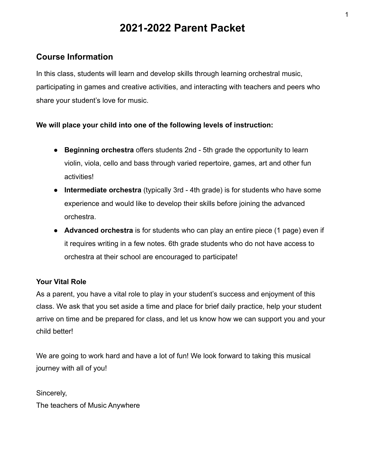# **2021-2022 Parent Packet**

## **Course Information**

In this class, students will learn and develop skills through learning orchestral music, participating in games and creative activities, and interacting with teachers and peers who share your student's love for music.

#### **We will place your child into one of the following levels of instruction:**

- **Beginning orchestra** offers students 2nd 5th grade the opportunity to learn violin, viola, cello and bass through varied repertoire, games, art and other fun activities!
- **Intermediate orchestra** (typically 3rd 4th grade) is for students who have some experience and would like to develop their skills before joining the advanced orchestra.
- **Advanced orchestra** is for students who can play an entire piece (1 page) even if it requires writing in a few notes. 6th grade students who do not have access to orchestra at their school are encouraged to participate!

#### **Your Vital Role**

As a parent, you have a vital role to play in your student's success and enjoyment of this class. We ask that you set aside a time and place for brief daily practice, help your student arrive on time and be prepared for class, and let us know how we can support you and your child better!

We are going to work hard and have a lot of fun! We look forward to taking this musical journey with all of you!

Sincerely, The teachers of Music Anywhere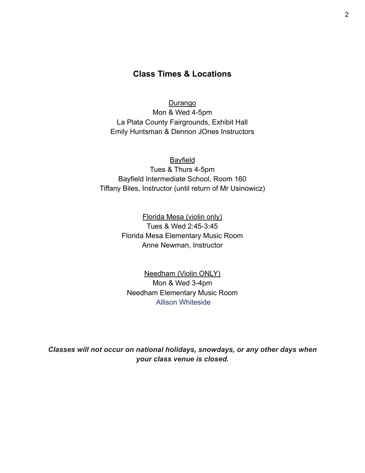## **Class Times & Locations**

**Durango** Mon & Wed 4-5pm La Plata County Fairgrounds, Exhibit Hall Emily Huntsman & Dennon JOnes Instructors

Bayfield Tues & Thurs 4-5pm Bayfield Intermediate School, Room 160 Tiffany Biles, Instructor (until return of Mr Usinowicz)

> Florida Mesa (violin only) Tues & Wed 2:45-3:45 Florida Mesa Elementary Music Room Anne Newman, Instructor

Needham (Violin ONLY) Mon & Wed 3-4pm Needham Elementary Music Room Allison Whiteside

*Classes will not occur on national holidays, snowdays, or any other days when your class venue is closed.*